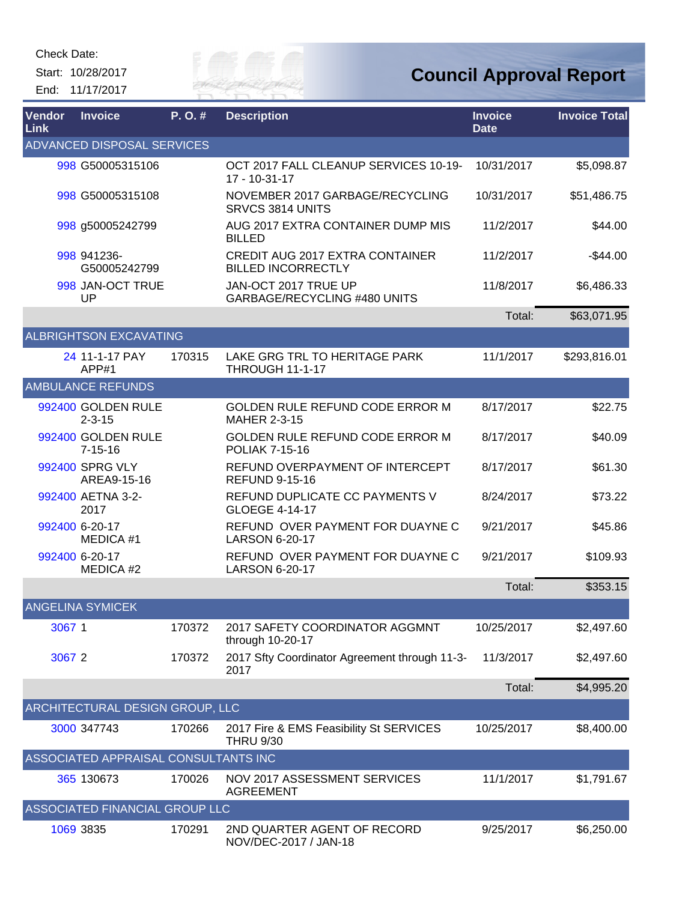Start: 10/28/2017 End: 11/17/2017



| Vendor<br>Link | <b>Invoice</b>                       | P.O.#  | <b>Description</b>                                                  | <b>Invoice</b><br><b>Date</b> | <b>Invoice Total</b> |
|----------------|--------------------------------------|--------|---------------------------------------------------------------------|-------------------------------|----------------------|
|                | ADVANCED DISPOSAL SERVICES           |        |                                                                     |                               |                      |
|                | 998 G50005315106                     |        | OCT 2017 FALL CLEANUP SERVICES 10-19-<br>17 - 10-31-17              | 10/31/2017                    | \$5,098.87           |
|                | 998 G50005315108                     |        | NOVEMBER 2017 GARBAGE/RECYCLING<br>SRVCS 3814 UNITS                 | 10/31/2017                    | \$51,486.75          |
|                | 998 g50005242799                     |        | AUG 2017 EXTRA CONTAINER DUMP MIS<br><b>BILLED</b>                  | 11/2/2017                     | \$44.00              |
|                | 998 941236-<br>G50005242799          |        | <b>CREDIT AUG 2017 EXTRA CONTAINER</b><br><b>BILLED INCORRECTLY</b> | 11/2/2017                     | $-$44.00$            |
|                | 998 JAN-OCT TRUE<br>UP               |        | JAN-OCT 2017 TRUE UP<br>GARBAGE/RECYCLING #480 UNITS                | 11/8/2017                     | \$6,486.33           |
|                |                                      |        |                                                                     | Total:                        | \$63,071.95          |
|                | <b>ALBRIGHTSON EXCAVATING</b>        |        |                                                                     |                               |                      |
|                | 24 11-1-17 PAY<br>APP#1              | 170315 | LAKE GRG TRL TO HERITAGE PARK<br><b>THROUGH 11-1-17</b>             | 11/1/2017                     | \$293,816.01         |
|                | <b>AMBULANCE REFUNDS</b>             |        |                                                                     |                               |                      |
|                | 992400 GOLDEN RULE<br>$2 - 3 - 15$   |        | GOLDEN RULE REFUND CODE ERROR M<br><b>MAHER 2-3-15</b>              | 8/17/2017                     | \$22.75              |
|                | 992400 GOLDEN RULE<br>$7 - 15 - 16$  |        | GOLDEN RULE REFUND CODE ERROR M<br><b>POLIAK 7-15-16</b>            | 8/17/2017                     | \$40.09              |
|                | 992400 SPRG VLY<br>AREA9-15-16       |        | REFUND OVERPAYMENT OF INTERCEPT<br><b>REFUND 9-15-16</b>            | 8/17/2017                     | \$61.30              |
|                | 992400 AETNA 3-2-<br>2017            |        | REFUND DUPLICATE CC PAYMENTS V<br><b>GLOEGE 4-14-17</b>             | 8/24/2017                     | \$73.22              |
|                | 992400 6-20-17<br>MEDICA #1          |        | REFUND OVER PAYMENT FOR DUAYNE C<br><b>LARSON 6-20-17</b>           | 9/21/2017                     | \$45.86              |
|                | 992400 6-20-17<br>MEDICA #2          |        | REFUND OVER PAYMENT FOR DUAYNE C<br>LARSON 6-20-17                  | 9/21/2017                     | \$109.93             |
|                |                                      |        |                                                                     | Total:                        | \$353.15             |
|                | <b>ANGELINA SYMICEK</b>              |        |                                                                     |                               |                      |
| 3067 1         |                                      | 170372 | 2017 SAFETY COORDINATOR AGGMNT<br>through 10-20-17                  | 10/25/2017                    | \$2,497.60           |
| 30672          |                                      | 170372 | 2017 Sfty Coordinator Agreement through 11-3-<br>2017               | 11/3/2017                     | \$2,497.60           |
|                |                                      |        |                                                                     | Total:                        | \$4,995.20           |
|                | ARCHITECTURAL DESIGN GROUP, LLC      |        |                                                                     |                               |                      |
|                | 3000 347743                          | 170266 | 2017 Fire & EMS Feasibility St SERVICES<br><b>THRU 9/30</b>         | 10/25/2017                    | \$8,400.00           |
|                | ASSOCIATED APPRAISAL CONSULTANTS INC |        |                                                                     |                               |                      |
|                | 365 130673                           | 170026 | NOV 2017 ASSESSMENT SERVICES<br><b>AGREEMENT</b>                    | 11/1/2017                     | \$1,791.67           |
|                | ASSOCIATED FINANCIAL GROUP LLC       |        |                                                                     |                               |                      |
|                | 1069 3835                            | 170291 | 2ND QUARTER AGENT OF RECORD<br>NOV/DEC-2017 / JAN-18                | 9/25/2017                     | \$6,250.00           |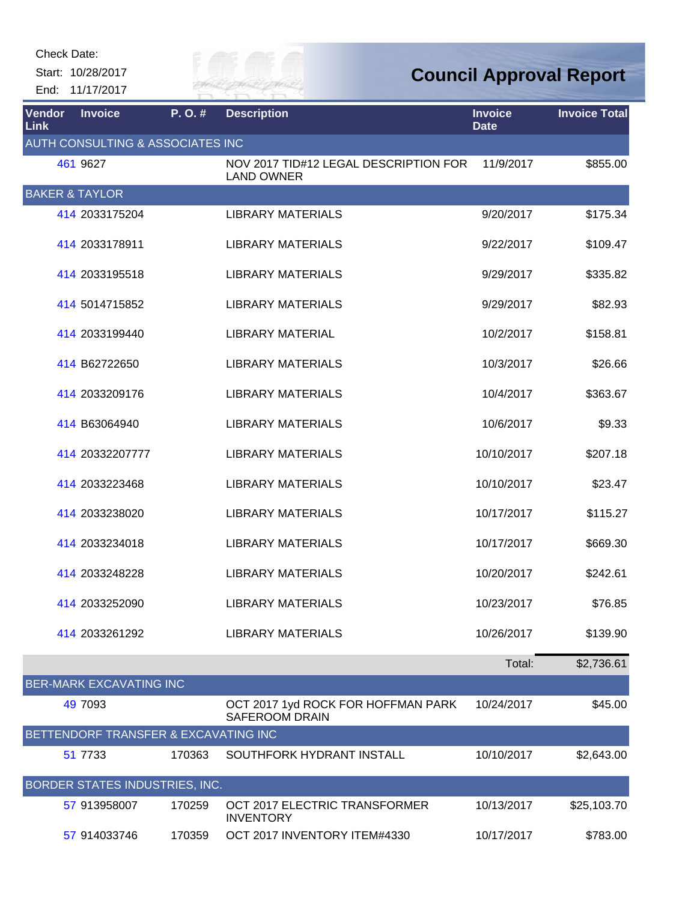Start: 10/28/2017

End: 11/17/2017



| Vendor<br><b>Link</b>     | <b>Invoice</b>                       | P.O.#  | <b>Description</b>                                          | <b>Invoice</b><br><b>Date</b> | <b>Invoice Total</b> |
|---------------------------|--------------------------------------|--------|-------------------------------------------------------------|-------------------------------|----------------------|
|                           | AUTH CONSULTING & ASSOCIATES INC     |        |                                                             |                               |                      |
|                           | 461 9627                             |        | NOV 2017 TID#12 LEGAL DESCRIPTION FOR<br><b>LAND OWNER</b>  | 11/9/2017                     | \$855.00             |
| <b>BAKER &amp; TAYLOR</b> |                                      |        |                                                             |                               |                      |
|                           | 414 2033175204                       |        | <b>LIBRARY MATERIALS</b>                                    | 9/20/2017                     | \$175.34             |
|                           | 414 2033178911                       |        | <b>LIBRARY MATERIALS</b>                                    | 9/22/2017                     | \$109.47             |
|                           | 414 2033195518                       |        | <b>LIBRARY MATERIALS</b>                                    | 9/29/2017                     | \$335.82             |
|                           | 414 5014715852                       |        | <b>LIBRARY MATERIALS</b>                                    | 9/29/2017                     | \$82.93              |
|                           | 414 2033199440                       |        | <b>LIBRARY MATERIAL</b>                                     | 10/2/2017                     | \$158.81             |
|                           | 414 B62722650                        |        | <b>LIBRARY MATERIALS</b>                                    | 10/3/2017                     | \$26.66              |
|                           | 414 2033209176                       |        | <b>LIBRARY MATERIALS</b>                                    | 10/4/2017                     | \$363.67             |
|                           | 414 B63064940                        |        | <b>LIBRARY MATERIALS</b>                                    | 10/6/2017                     | \$9.33               |
|                           | 414 20332207777                      |        | <b>LIBRARY MATERIALS</b>                                    | 10/10/2017                    | \$207.18             |
|                           | 414 2033223468                       |        | <b>LIBRARY MATERIALS</b>                                    | 10/10/2017                    | \$23.47              |
|                           | 414 2033238020                       |        | <b>LIBRARY MATERIALS</b>                                    | 10/17/2017                    | \$115.27             |
|                           | 414 2033234018                       |        | <b>LIBRARY MATERIALS</b>                                    | 10/17/2017                    | \$669.30             |
|                           | 414 2033248228                       |        | <b>LIBRARY MATERIALS</b>                                    | 10/20/2017                    | \$242.61             |
|                           | 414 2033252090                       |        | <b>LIBRARY MATERIALS</b>                                    | 10/23/2017                    | \$76.85              |
|                           | 414 2033261292                       |        | <b>LIBRARY MATERIALS</b>                                    | 10/26/2017                    | \$139.90             |
|                           |                                      |        |                                                             | Total:                        | \$2,736.61           |
|                           | <b>BER-MARK EXCAVATING INC</b>       |        |                                                             |                               |                      |
|                           | 49 7093                              |        | OCT 2017 1yd ROCK FOR HOFFMAN PARK<br><b>SAFEROOM DRAIN</b> | 10/24/2017                    | \$45.00              |
|                           | BETTENDORF TRANSFER & EXCAVATING INC |        |                                                             |                               |                      |
|                           | 51 7733                              | 170363 | SOUTHFORK HYDRANT INSTALL                                   | 10/10/2017                    | \$2,643.00           |
|                           | BORDER STATES INDUSTRIES, INC.       |        |                                                             |                               |                      |
|                           | 57 913958007                         | 170259 | OCT 2017 ELECTRIC TRANSFORMER<br><b>INVENTORY</b>           | 10/13/2017                    | \$25,103.70          |
|                           | 57 914033746                         | 170359 | OCT 2017 INVENTORY ITEM#4330                                | 10/17/2017                    | \$783.00             |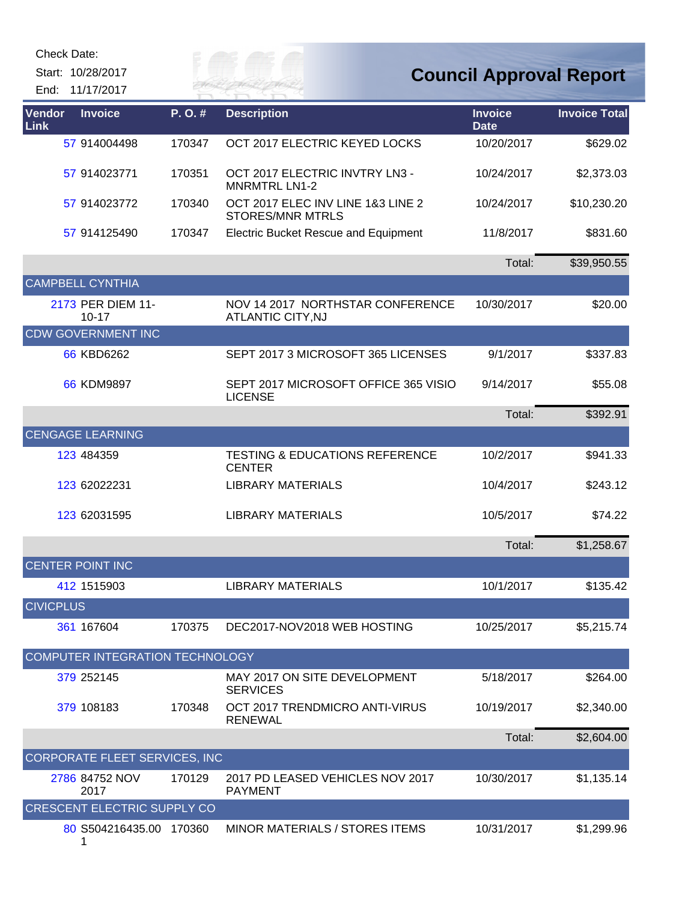| Check Date:                             |                         |        |                                                              |                               |                                |
|-----------------------------------------|-------------------------|--------|--------------------------------------------------------------|-------------------------------|--------------------------------|
| Start: 10/28/2017<br>11/17/2017<br>End: |                         |        |                                                              |                               | <b>Council Approval Report</b> |
| Vendor<br><b>Invoice</b><br>Link        |                         | P.O.#  | <b>Description</b>                                           | <b>Invoice</b><br><b>Date</b> | <b>Invoice Total</b>           |
| 57 914004498                            |                         | 170347 | OCT 2017 ELECTRIC KEYED LOCKS                                | 10/20/2017                    | \$629.02                       |
| 57 914023771                            |                         | 170351 | OCT 2017 ELECTRIC INVTRY LN3 -<br><b>MNRMTRL LN1-2</b>       | 10/24/2017                    | \$2,373.03                     |
| 57 914023772                            |                         | 170340 | OCT 2017 ELEC INV LINE 1&3 LINE 2<br><b>STORES/MNR MTRLS</b> | 10/24/2017                    | \$10,230.20                    |
| 57 914125490                            |                         | 170347 | <b>Electric Bucket Rescue and Equipment</b>                  | 11/8/2017                     | \$831.60                       |
|                                         |                         |        |                                                              | Total:                        | \$39,950.55                    |
| <b>CAMPBELL CYNTHIA</b>                 |                         |        |                                                              |                               |                                |
| 2173 PER DIEM 11-<br>$10 - 17$          |                         |        | NOV 14 2017 NORTHSTAR CONFERENCE<br>ATLANTIC CITY, NJ        | 10/30/2017                    | \$20.00                        |
| <b>CDW GOVERNMENT INC</b>               |                         |        |                                                              |                               |                                |
| 66 KBD6262                              |                         |        | SEPT 2017 3 MICROSOFT 365 LICENSES                           | 9/1/2017                      | \$337.83                       |
| 66 KDM9897                              |                         |        | SEPT 2017 MICROSOFT OFFICE 365 VISIO<br><b>LICENSE</b>       | 9/14/2017                     | \$55.08                        |
|                                         |                         |        |                                                              | Total:                        | \$392.91                       |
| <b>CENGAGE LEARNING</b>                 |                         |        |                                                              |                               |                                |
| 123 484359                              |                         |        | <b>TESTING &amp; EDUCATIONS REFERENCE</b><br><b>CENTER</b>   | 10/2/2017                     | \$941.33                       |
| 123 62022231                            |                         |        | <b>LIBRARY MATERIALS</b>                                     | 10/4/2017                     | \$243.12                       |
| 123 62031595                            |                         |        | <b>LIBRARY MATERIALS</b>                                     | 10/5/2017                     | \$74.22                        |
|                                         |                         |        |                                                              | Total:                        | \$1,258.67                     |
| <b>CENTER POINT INC</b>                 |                         |        |                                                              |                               |                                |
| 412 1515903                             |                         |        | <b>LIBRARY MATERIALS</b>                                     | 10/1/2017                     | \$135.42                       |
| <b>CIVICPLUS</b>                        |                         |        |                                                              |                               |                                |
| 361 167604                              |                         | 170375 | DEC2017-NOV2018 WEB HOSTING                                  | 10/25/2017                    | \$5,215.74                     |
| COMPUTER INTEGRATION TECHNOLOGY         |                         |        |                                                              |                               |                                |
| 379 252145                              |                         |        | MAY 2017 ON SITE DEVELOPMENT<br><b>SERVICES</b>              | 5/18/2017                     | \$264.00                       |
| 379 108183                              |                         | 170348 | OCT 2017 TRENDMICRO ANTI-VIRUS<br><b>RENEWAL</b>             | 10/19/2017                    | \$2,340.00                     |
|                                         |                         |        |                                                              | Total:                        | \$2,604.00                     |
| CORPORATE FLEET SERVICES, INC           |                         |        |                                                              |                               |                                |
| 2786 84752 NOV<br>2017                  |                         | 170129 | 2017 PD LEASED VEHICLES NOV 2017<br><b>PAYMENT</b>           | 10/30/2017                    | \$1,135.14                     |
| <b>CRESCENT ELECTRIC SUPPLY CO</b>      |                         |        |                                                              |                               |                                |
| 1                                       | 80 S504216435.00 170360 |        | <b>MINOR MATERIALS / STORES ITEMS</b>                        | 10/31/2017                    | \$1,299.96                     |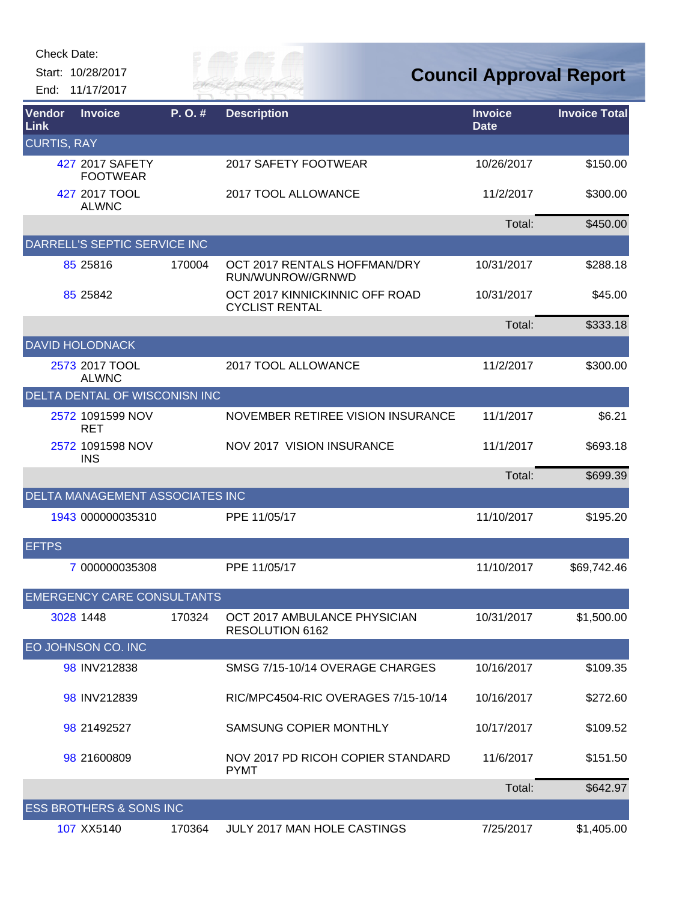| <b>Check Date:</b> |                                    |        |                                                         |                                |                      |
|--------------------|------------------------------------|--------|---------------------------------------------------------|--------------------------------|----------------------|
|                    | Start: 10/28/2017                  |        |                                                         | <b>Council Approval Report</b> |                      |
|                    | End: 11/17/2017                    |        | 7 HAI                                                   |                                |                      |
| Vendor<br>Link     | <b>Invoice</b>                     | P.O.#  | <b>Description</b>                                      | <b>Invoice</b><br><b>Date</b>  | <b>Invoice Total</b> |
| <b>CURTIS, RAY</b> |                                    |        |                                                         |                                |                      |
|                    | 427 2017 SAFETY<br><b>FOOTWEAR</b> |        | 2017 SAFETY FOOTWEAR                                    | 10/26/2017                     | \$150.00             |
|                    | 427 2017 TOOL<br><b>ALWNC</b>      |        | 2017 TOOL ALLOWANCE                                     | 11/2/2017                      | \$300.00             |
|                    |                                    |        |                                                         | Total:                         | \$450.00             |
|                    | DARRELL'S SEPTIC SERVICE INC       |        |                                                         |                                |                      |
|                    | 85 25816                           | 170004 | OCT 2017 RENTALS HOFFMAN/DRY<br>RUN/WUNROW/GRNWD        | 10/31/2017                     | \$288.18             |
|                    | 85 25 842                          |        | OCT 2017 KINNICKINNIC OFF ROAD<br><b>CYCLIST RENTAL</b> | 10/31/2017                     | \$45.00              |
|                    |                                    |        |                                                         | Total:                         | \$333.18             |
|                    | <b>DAVID HOLODNACK</b>             |        |                                                         |                                |                      |
|                    | 2573 2017 TOOL<br><b>ALWNC</b>     |        | 2017 TOOL ALLOWANCE                                     | 11/2/2017                      | \$300.00             |
|                    | DELTA DENTAL OF WISCONISN INC      |        |                                                         |                                |                      |
|                    | 2572 1091599 NOV<br><b>RET</b>     |        | NOVEMBER RETIREE VISION INSURANCE                       | 11/1/2017                      | \$6.21               |
|                    | 2572 1091598 NOV<br><b>INS</b>     |        | NOV 2017 VISION INSURANCE                               | 11/1/2017                      | \$693.18             |
|                    |                                    |        |                                                         | Total:                         | \$699.39             |
|                    | DELTA MANAGEMENT ASSOCIATES INC    |        |                                                         |                                |                      |
|                    | 1943 000000035310                  |        | PPE 11/05/17                                            | 11/10/2017                     | \$195.20             |
| <b>EFTPS</b>       |                                    |        |                                                         |                                |                      |
|                    | 7 000000035308                     |        | PPE 11/05/17                                            | 11/10/2017                     | \$69,742.46          |
|                    | <b>EMERGENCY CARE CONSULTANTS</b>  |        |                                                         |                                |                      |
|                    | 3028 1448                          | 170324 | OCT 2017 AMBULANCE PHYSICIAN<br>RESOLUTION 6162         | 10/31/2017                     | \$1,500.00           |
|                    | EO JOHNSON CO. INC                 |        |                                                         |                                |                      |
|                    | 98 INV212838                       |        | SMSG 7/15-10/14 OVERAGE CHARGES                         | 10/16/2017                     | \$109.35             |
|                    | 98 INV212839                       |        | RIC/MPC4504-RIC OVERAGES 7/15-10/14                     | 10/16/2017                     | \$272.60             |
|                    | 98 21492527                        |        | SAMSUNG COPIER MONTHLY                                  | 10/17/2017                     | \$109.52             |
|                    | 98 21600809                        |        | NOV 2017 PD RICOH COPIER STANDARD<br><b>PYMT</b>        | 11/6/2017                      | \$151.50             |
|                    |                                    |        |                                                         | Total:                         | \$642.97             |
|                    | <b>ESS BROTHERS &amp; SONS INC</b> |        |                                                         |                                |                      |
|                    | 107 XX5140                         | 170364 | JULY 2017 MAN HOLE CASTINGS                             | 7/25/2017                      | \$1,405.00           |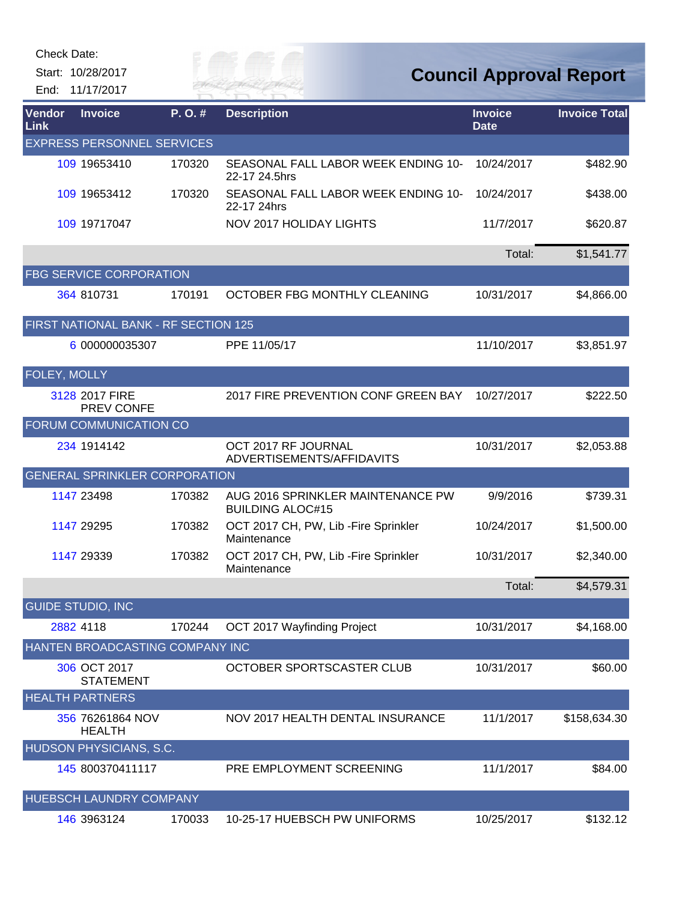Start: 10/28/2017

End: 11/17/2017

*Cay of* 

| Vendor<br>Link | <b>Invoice</b>                       | P.O.#  | <b>Description</b>                                           | <b>Invoice</b><br><b>Date</b> | <b>Invoice Total</b> |
|----------------|--------------------------------------|--------|--------------------------------------------------------------|-------------------------------|----------------------|
|                | <b>EXPRESS PERSONNEL SERVICES</b>    |        |                                                              |                               |                      |
|                | 109 19653410                         | 170320 | SEASONAL FALL LABOR WEEK ENDING 10-<br>22-17 24.5hrs         | 10/24/2017                    | \$482.90             |
|                | 109 19653412                         | 170320 | SEASONAL FALL LABOR WEEK ENDING 10-<br>22-17 24hrs           | 10/24/2017                    | \$438.00             |
|                | 109 19717047                         |        | NOV 2017 HOLIDAY LIGHTS                                      | 11/7/2017                     | \$620.87             |
|                |                                      |        |                                                              | Total:                        | \$1,541.77           |
|                | <b>FBG SERVICE CORPORATION</b>       |        |                                                              |                               |                      |
|                | 364 810731                           | 170191 | OCTOBER FBG MONTHLY CLEANING                                 | 10/31/2017                    | \$4,866.00           |
|                | FIRST NATIONAL BANK - RF SECTION 125 |        |                                                              |                               |                      |
|                | 6 000000035307                       |        | PPE 11/05/17                                                 | 11/10/2017                    | \$3,851.97           |
| FOLEY, MOLLY   |                                      |        |                                                              |                               |                      |
|                | 3128 2017 FIRE<br>PREV CONFE         |        | 2017 FIRE PREVENTION CONF GREEN BAY                          | 10/27/2017                    | \$222.50             |
|                | FORUM COMMUNICATION CO               |        |                                                              |                               |                      |
|                | 234 1914142                          |        | OCT 2017 RF JOURNAL<br>ADVERTISEMENTS/AFFIDAVITS             | 10/31/2017                    | \$2,053.88           |
|                | <b>GENERAL SPRINKLER CORPORATION</b> |        |                                                              |                               |                      |
|                | 1147 23498                           | 170382 | AUG 2016 SPRINKLER MAINTENANCE PW<br><b>BUILDING ALOC#15</b> | 9/9/2016                      | \$739.31             |
|                | 1147 29295                           | 170382 | OCT 2017 CH, PW, Lib - Fire Sprinkler<br>Maintenance         | 10/24/2017                    | \$1,500.00           |
|                | 1147 29339                           | 170382 | OCT 2017 CH, PW, Lib - Fire Sprinkler<br>Maintenance         | 10/31/2017                    | \$2,340.00           |
|                |                                      |        |                                                              | Total:                        | \$4,579.31           |
|                | <b>GUIDE STUDIO, INC</b>             |        |                                                              |                               |                      |
|                | 2882 4118                            | 170244 | OCT 2017 Wayfinding Project                                  | 10/31/2017                    | \$4,168.00           |
|                | HANTEN BROADCASTING COMPANY INC      |        |                                                              |                               |                      |
|                | 306 OCT 2017<br><b>STATEMENT</b>     |        | OCTOBER SPORTSCASTER CLUB                                    | 10/31/2017                    | \$60.00              |
|                | <b>HEALTH PARTNERS</b>               |        |                                                              |                               |                      |
|                | 356 76261864 NOV<br><b>HEALTH</b>    |        | NOV 2017 HEALTH DENTAL INSURANCE                             | 11/1/2017                     | \$158,634.30         |
|                | HUDSON PHYSICIANS, S.C.              |        |                                                              |                               |                      |
|                | 145 800370411117                     |        | PRE EMPLOYMENT SCREENING                                     | 11/1/2017                     | \$84.00              |
|                | HUEBSCH LAUNDRY COMPANY              |        |                                                              |                               |                      |
|                | 146 3963124                          | 170033 | 10-25-17 HUEBSCH PW UNIFORMS                                 | 10/25/2017                    | \$132.12             |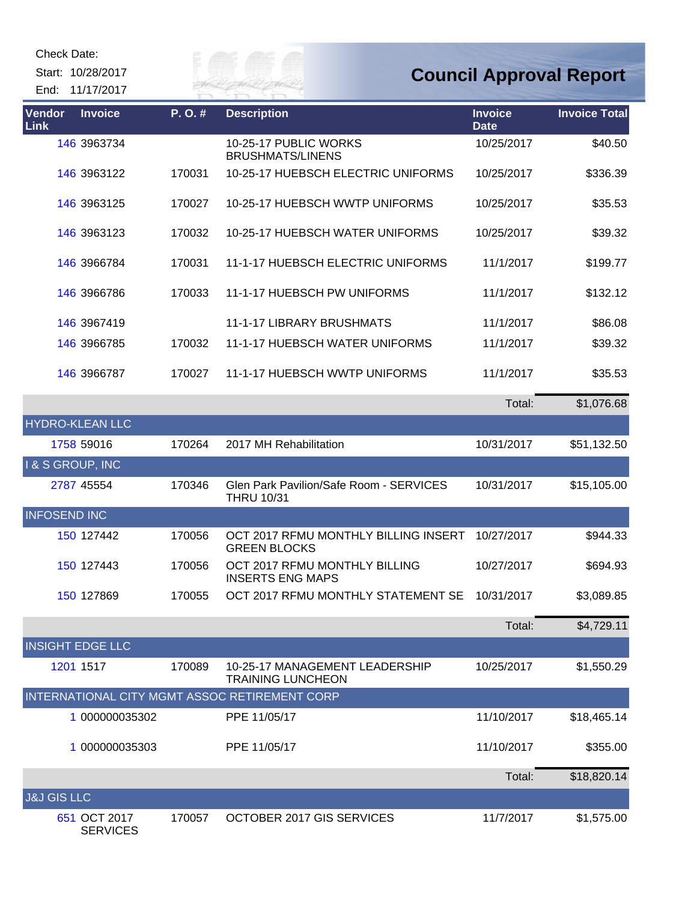Start: 10/28/2017 End: 11/17/2017 Eily of

| Vendor<br>Link          | <b>Invoice</b>                  | P.O.#  | <b>Description</b>                                           | <b>Invoice</b><br><b>Date</b> | <b>Invoice Total</b> |
|-------------------------|---------------------------------|--------|--------------------------------------------------------------|-------------------------------|----------------------|
|                         | 146 3963734                     |        | 10-25-17 PUBLIC WORKS<br><b>BRUSHMATS/LINENS</b>             | 10/25/2017                    | \$40.50              |
|                         | 146 3963122                     | 170031 | 10-25-17 HUEBSCH ELECTRIC UNIFORMS                           | 10/25/2017                    | \$336.39             |
|                         | 146 3963125                     | 170027 | 10-25-17 HUEBSCH WWTP UNIFORMS                               | 10/25/2017                    | \$35.53              |
|                         | 146 3963123                     | 170032 | 10-25-17 HUEBSCH WATER UNIFORMS                              | 10/25/2017                    | \$39.32              |
|                         | 146 3966784                     | 170031 | 11-1-17 HUEBSCH ELECTRIC UNIFORMS                            | 11/1/2017                     | \$199.77             |
|                         | 146 3966786                     | 170033 | 11-1-17 HUEBSCH PW UNIFORMS                                  | 11/1/2017                     | \$132.12             |
|                         | 146 3967419                     |        | <b>11-1-17 LIBRARY BRUSHMATS</b>                             | 11/1/2017                     | \$86.08              |
|                         | 146 3966785                     | 170032 | 11-1-17 HUEBSCH WATER UNIFORMS                               | 11/1/2017                     | \$39.32              |
|                         | 146 3966787                     | 170027 | 11-1-17 HUEBSCH WWTP UNIFORMS                                | 11/1/2017                     | \$35.53              |
|                         |                                 |        |                                                              | Total:                        | \$1,076.68           |
| <b>HYDRO-KLEAN LLC</b>  |                                 |        |                                                              |                               |                      |
|                         | 1758 59016                      | 170264 | 2017 MH Rehabilitation                                       | 10/31/2017                    | \$51,132.50          |
| I & S GROUP, INC        |                                 |        |                                                              |                               |                      |
|                         | 2787 45554                      | 170346 | Glen Park Pavilion/Safe Room - SERVICES<br><b>THRU 10/31</b> | 10/31/2017                    | \$15,105.00          |
| <b>INFOSEND INC</b>     |                                 |        |                                                              |                               |                      |
|                         | 150 127442                      | 170056 | OCT 2017 RFMU MONTHLY BILLING INSERT<br><b>GREEN BLOCKS</b>  | 10/27/2017                    | \$944.33             |
|                         | 150 127443                      | 170056 | OCT 2017 RFMU MONTHLY BILLING<br><b>INSERTS ENG MAPS</b>     | 10/27/2017                    | \$694.93             |
|                         | 150 127869                      | 170055 | OCT 2017 RFMU MONTHLY STATEMENT SE                           | 10/31/2017                    | \$3,089.85           |
|                         |                                 |        |                                                              | Total:                        | \$4,729.11           |
| <b>INSIGHT EDGE LLC</b> |                                 |        |                                                              |                               |                      |
|                         | 1201 1517                       | 170089 | 10-25-17 MANAGEMENT LEADERSHIP<br><b>TRAINING LUNCHEON</b>   | 10/25/2017                    | \$1,550.29           |
|                         |                                 |        | INTERNATIONAL CITY MGMT ASSOC RETIREMENT CORP                |                               |                      |
|                         | 1 000000035302                  |        | PPE 11/05/17                                                 | 11/10/2017                    | \$18,465.14          |
|                         | 1 000000035303                  |        | PPE 11/05/17                                                 | 11/10/2017                    | \$355.00             |
|                         |                                 |        |                                                              | Total:                        | \$18,820.14          |
| <b>J&amp;J GIS LLC</b>  |                                 |        |                                                              |                               |                      |
|                         | 651 OCT 2017<br><b>SERVICES</b> | 170057 | OCTOBER 2017 GIS SERVICES                                    | 11/7/2017                     | \$1,575.00           |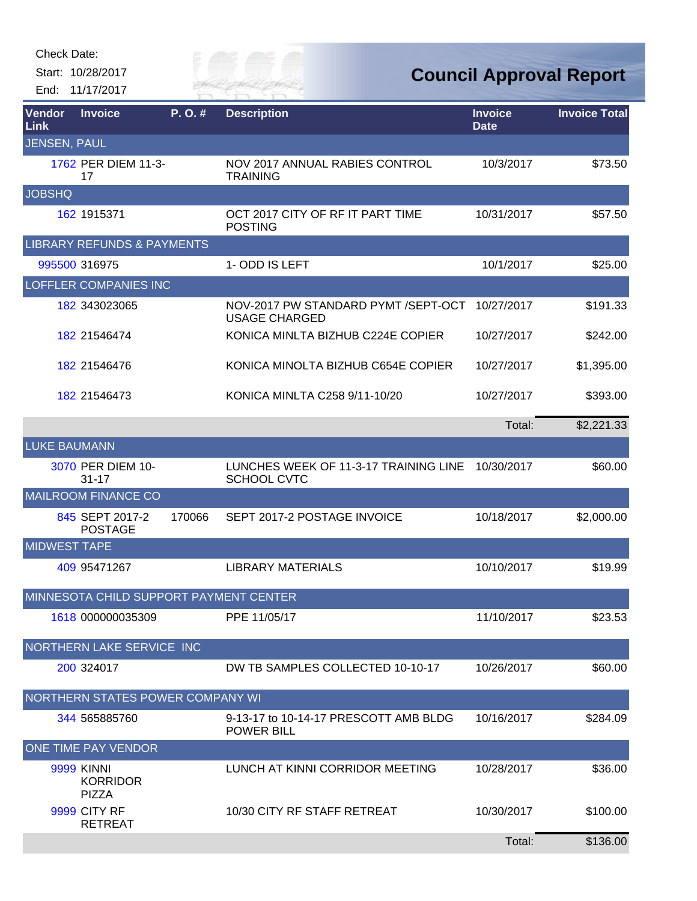Start: 10/28/2017

RIVER FAI End: 11/17/2017

**Council Approval Report**

| <b>Vendor</b><br>Link | <b>Invoice</b>                                       | P.O.#  | <b>Description</b>                                          | <b>Invoice</b><br><b>Date</b> | <b>Invoice Total</b> |
|-----------------------|------------------------------------------------------|--------|-------------------------------------------------------------|-------------------------------|----------------------|
| <b>JENSEN, PAUL</b>   |                                                      |        |                                                             |                               |                      |
|                       | 1762 PER DIEM 11-3-<br>17                            |        | NOV 2017 ANNUAL RABIES CONTROL<br><b>TRAINING</b>           | 10/3/2017                     | \$73.50              |
| <b>JOBSHQ</b>         |                                                      |        |                                                             |                               |                      |
|                       | 162 1915371                                          |        | OCT 2017 CITY OF RF IT PART TIME<br><b>POSTING</b>          | 10/31/2017                    | \$57.50              |
|                       | <b>LIBRARY REFUNDS &amp; PAYMENTS</b>                |        |                                                             |                               |                      |
|                       | 995500 316975                                        |        | 1-ODD IS LEFT                                               | 10/1/2017                     | \$25.00              |
|                       | <b>LOFFLER COMPANIES INC</b>                         |        |                                                             |                               |                      |
|                       | 182 343023065                                        |        | NOV-2017 PW STANDARD PYMT /SEPT-OCT<br><b>USAGE CHARGED</b> | 10/27/2017                    | \$191.33             |
|                       | 182 21546474                                         |        | KONICA MINLTA BIZHUB C224E COPIER                           | 10/27/2017                    | \$242.00             |
|                       | 182 21546476                                         |        | KONICA MINOLTA BIZHUB C654E COPIER                          | 10/27/2017                    | \$1,395.00           |
|                       | 182 21546473                                         |        | KONICA MINLTA C258 9/11-10/20                               | 10/27/2017                    | \$393.00             |
|                       |                                                      |        |                                                             | Total:                        | \$2,221.33           |
| <b>LUKE BAUMANN</b>   |                                                      |        |                                                             |                               |                      |
|                       | 3070 PER DIEM 10-<br>$31 - 17$                       |        | LUNCHES WEEK OF 11-3-17 TRAINING LINE<br><b>SCHOOL CVTC</b> | 10/30/2017                    | \$60.00              |
|                       | <b>MAILROOM FINANCE CO</b>                           |        |                                                             |                               |                      |
|                       | 845 SEPT 2017-2<br><b>POSTAGE</b>                    | 170066 | SEPT 2017-2 POSTAGE INVOICE                                 | 10/18/2017                    | \$2,000.00           |
| <b>MIDWEST TAPE</b>   |                                                      |        |                                                             |                               |                      |
|                       | 409 95471267                                         |        | <b>LIBRARY MATERIALS</b>                                    | 10/10/2017                    | \$19.99              |
|                       | MINNESOTA CHILD SUPPORT PAYMENT CENTER               |        |                                                             |                               |                      |
|                       | 1618 000000035309                                    |        | PPE 11/05/17                                                | 11/10/2017                    | \$23.53              |
|                       | NORTHERN LAKE SERVICE INC                            |        |                                                             |                               |                      |
|                       | 200 324017                                           |        | DW TB SAMPLES COLLECTED 10-10-17                            | 10/26/2017                    | \$60.00              |
|                       | NORTHERN STATES POWER COMPANY WI                     |        |                                                             |                               |                      |
|                       | 344 565885760                                        |        | 9-13-17 to 10-14-17 PRESCOTT AMB BLDG<br><b>POWER BILL</b>  | 10/16/2017                    | \$284.09             |
|                       | ONE TIME PAY VENDOR                                  |        |                                                             |                               |                      |
|                       | <b>9999 KINNI</b><br><b>KORRIDOR</b><br><b>PIZZA</b> |        | LUNCH AT KINNI CORRIDOR MEETING                             | 10/28/2017                    | \$36.00              |
|                       | <b>9999 CITY RF</b><br><b>RETREAT</b>                |        | 10/30 CITY RF STAFF RETREAT                                 | 10/30/2017                    | \$100.00             |
|                       |                                                      |        |                                                             | Total:                        | \$136.00             |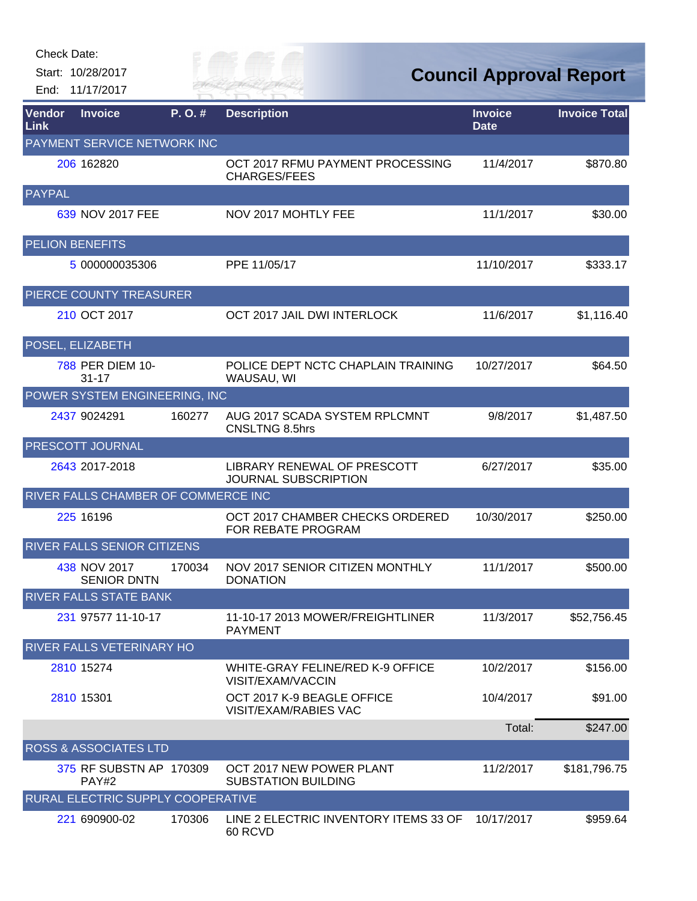Start: 10/28/2017

End: 11/17/2017

Eily of

**Council Approval Report**

| Vendor<br><b>Link</b>  | <b>Invoice</b>                      | P.O.#  | <b>Description</b>                                         | <b>Invoice</b><br><b>Date</b> | <b>Invoice Total</b> |
|------------------------|-------------------------------------|--------|------------------------------------------------------------|-------------------------------|----------------------|
|                        | PAYMENT SERVICE NETWORK INC         |        |                                                            |                               |                      |
|                        | 206 162820                          |        | OCT 2017 RFMU PAYMENT PROCESSING<br><b>CHARGES/FEES</b>    | 11/4/2017                     | \$870.80             |
| <b>PAYPAL</b>          |                                     |        |                                                            |                               |                      |
|                        | 639 NOV 2017 FEE                    |        | NOV 2017 MOHTLY FEE                                        | 11/1/2017                     | \$30.00              |
| <b>PELION BENEFITS</b> |                                     |        |                                                            |                               |                      |
|                        | 5 000000035306                      |        | PPE 11/05/17                                               | 11/10/2017                    | \$333.17             |
|                        | PIERCE COUNTY TREASURER             |        |                                                            |                               |                      |
|                        | 210 OCT 2017                        |        | OCT 2017 JAIL DWI INTERLOCK                                | 11/6/2017                     | \$1,116.40           |
| POSEL, ELIZABETH       |                                     |        |                                                            |                               |                      |
|                        | 788 PER DIEM 10-<br>$31 - 17$       |        | POLICE DEPT NCTC CHAPLAIN TRAINING<br>WAUSAU, WI           | 10/27/2017                    | \$64.50              |
|                        | POWER SYSTEM ENGINEERING, INC       |        |                                                            |                               |                      |
|                        | 2437 9024291                        | 160277 | AUG 2017 SCADA SYSTEM RPLCMNT<br>CNSLTNG 8.5hrs            | 9/8/2017                      | \$1,487.50           |
|                        | PRESCOTT JOURNAL                    |        |                                                            |                               |                      |
|                        | 2643 2017-2018                      |        | LIBRARY RENEWAL OF PRESCOTT<br>JOURNAL SUBSCRIPTION        | 6/27/2017                     | \$35.00              |
|                        | RIVER FALLS CHAMBER OF COMMERCE INC |        |                                                            |                               |                      |
|                        | 225 16196                           |        | OCT 2017 CHAMBER CHECKS ORDERED<br>FOR REBATE PROGRAM      | 10/30/2017                    | \$250.00             |
|                        | RIVER FALLS SENIOR CITIZENS         |        |                                                            |                               |                      |
|                        | 438 NOV 2017<br><b>SENIOR DNTN</b>  | 170034 | NOV 2017 SENIOR CITIZEN MONTHLY<br><b>DONATION</b>         | 11/1/2017                     | \$500.00             |
|                        | <b>RIVER FALLS STATE BANK</b>       |        |                                                            |                               |                      |
|                        | 231 97577 11-10-17                  |        | 11-10-17 2013 MOWER/FREIGHTLINER<br><b>PAYMENT</b>         | 11/3/2017                     | \$52,756.45          |
|                        | RIVER FALLS VETERINARY HO           |        |                                                            |                               |                      |
|                        | 2810 15274                          |        | WHITE-GRAY FELINE/RED K-9 OFFICE<br>VISIT/EXAM/VACCIN      | 10/2/2017                     | \$156.00             |
|                        | 2810 15301                          |        | OCT 2017 K-9 BEAGLE OFFICE<br><b>VISIT/EXAM/RABIES VAC</b> | 10/4/2017                     | \$91.00              |
|                        |                                     |        |                                                            | Total:                        | \$247.00             |
|                        | <b>ROSS &amp; ASSOCIATES LTD</b>    |        |                                                            |                               |                      |
|                        | 375 RF SUBSTN AP 170309<br>PAY#2    |        | OCT 2017 NEW POWER PLANT<br><b>SUBSTATION BUILDING</b>     | 11/2/2017                     | \$181,796.75         |
|                        | RURAL ELECTRIC SUPPLY COOPERATIVE   |        |                                                            |                               |                      |
|                        | 221 690900-02                       | 170306 | LINE 2 ELECTRIC INVENTORY ITEMS 33 OF<br>60 RCVD           | 10/17/2017                    | \$959.64             |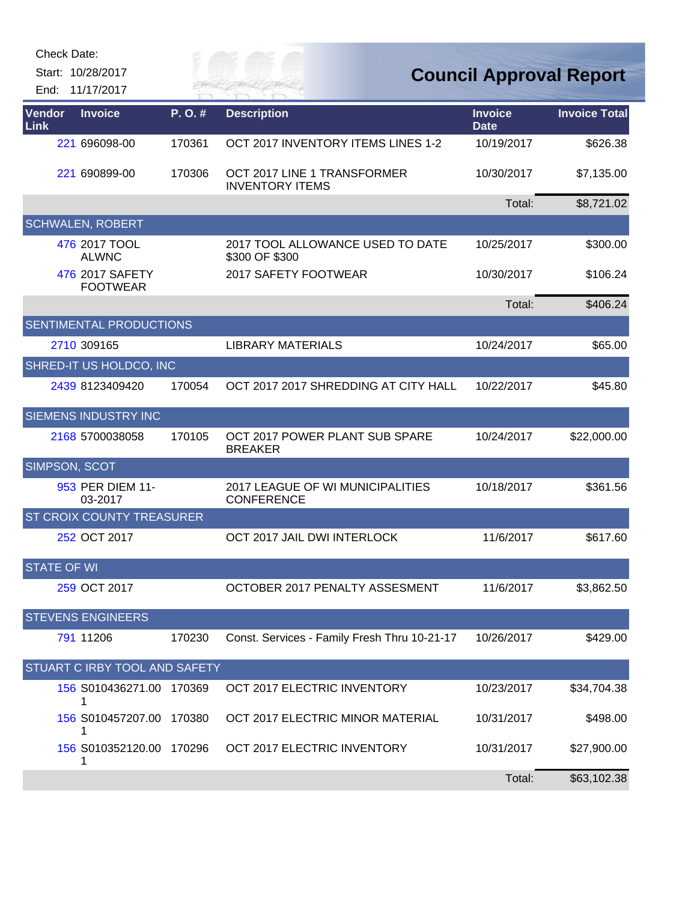| <b>Check Date:</b> | Start: 10/28/2017<br>End: 11/17/2017 |        | TR MAI                                                | <b>Council Approval Report</b> |                      |
|--------------------|--------------------------------------|--------|-------------------------------------------------------|--------------------------------|----------------------|
| Vendor<br>Link     | <b>Invoice</b>                       | P.O.#  | <b>Description</b>                                    | <b>Invoice</b><br><b>Date</b>  | <b>Invoice Total</b> |
|                    | 221 696098-00                        | 170361 | OCT 2017 INVENTORY ITEMS LINES 1-2                    | 10/19/2017                     | \$626.38             |
|                    | 221 690899-00                        | 170306 | OCT 2017 LINE 1 TRANSFORMER<br><b>INVENTORY ITEMS</b> | 10/30/2017                     | \$7,135.00           |
|                    |                                      |        |                                                       | Total:                         | \$8,721.02           |
|                    | <b>SCHWALEN, ROBERT</b>              |        |                                                       |                                |                      |
|                    | 476 2017 TOOL<br><b>ALWNC</b>        |        | 2017 TOOL ALLOWANCE USED TO DATE<br>\$300 OF \$300    | 10/25/2017                     | \$300.00             |
|                    | 476 2017 SAFETY<br><b>FOOTWEAR</b>   |        | 2017 SAFETY FOOTWEAR                                  | 10/30/2017                     | \$106.24             |
|                    |                                      |        |                                                       | Total:                         | \$406.24             |
|                    | <b>SENTIMENTAL PRODUCTIONS</b>       |        |                                                       |                                |                      |
|                    | 2710 309165                          |        | <b>LIBRARY MATERIALS</b>                              | 10/24/2017                     | \$65.00              |
|                    | SHRED-IT US HOLDCO, INC              |        |                                                       |                                |                      |
|                    | 2439 8123409420                      | 170054 | OCT 2017 2017 SHREDDING AT CITY HALL                  | 10/22/2017                     | \$45.80              |
|                    | <b>SIEMENS INDUSTRY INC</b>          |        |                                                       |                                |                      |
|                    | 2168 5700038058                      | 170105 | OCT 2017 POWER PLANT SUB SPARE<br><b>BREAKER</b>      | 10/24/2017                     | \$22,000.00          |
| SIMPSON, SCOT      |                                      |        |                                                       |                                |                      |
|                    | 953 PER DIEM 11-<br>03-2017          |        | 2017 LEAGUE OF WI MUNICIPALITIES<br><b>CONFERENCE</b> | 10/18/2017                     | \$361.56             |
|                    | <b>ST CROIX COUNTY TREASURER</b>     |        |                                                       |                                |                      |
|                    | 252 OCT 2017                         |        | OCT 2017 JAIL DWI INTERLOCK                           | 11/6/2017                      | \$617.60             |
| <b>STATE OF WI</b> |                                      |        |                                                       |                                |                      |
|                    | 259 OCT 2017                         |        | OCTOBER 2017 PENALTY ASSESMENT                        | 11/6/2017                      | \$3,862.50           |
|                    | <b>STEVENS ENGINEERS</b>             |        |                                                       |                                |                      |
|                    | 791 11206                            | 170230 | Const. Services - Family Fresh Thru 10-21-17          | 10/26/2017                     | \$429.00             |
|                    | STUART C IRBY TOOL AND SAFETY        |        |                                                       |                                |                      |
|                    | 156 S010436271.00 170369<br>1        |        | OCT 2017 ELECTRIC INVENTORY                           | 10/23/2017                     | \$34,704.38          |
|                    | 156 S010457207.00 170380             |        | OCT 2017 ELECTRIC MINOR MATERIAL                      | 10/31/2017                     | \$498.00             |
|                    | 156 S010352120.00 170296<br>1        |        | OCT 2017 ELECTRIC INVENTORY                           | 10/31/2017                     | \$27,900.00          |
|                    |                                      |        |                                                       | Total:                         | \$63,102.38          |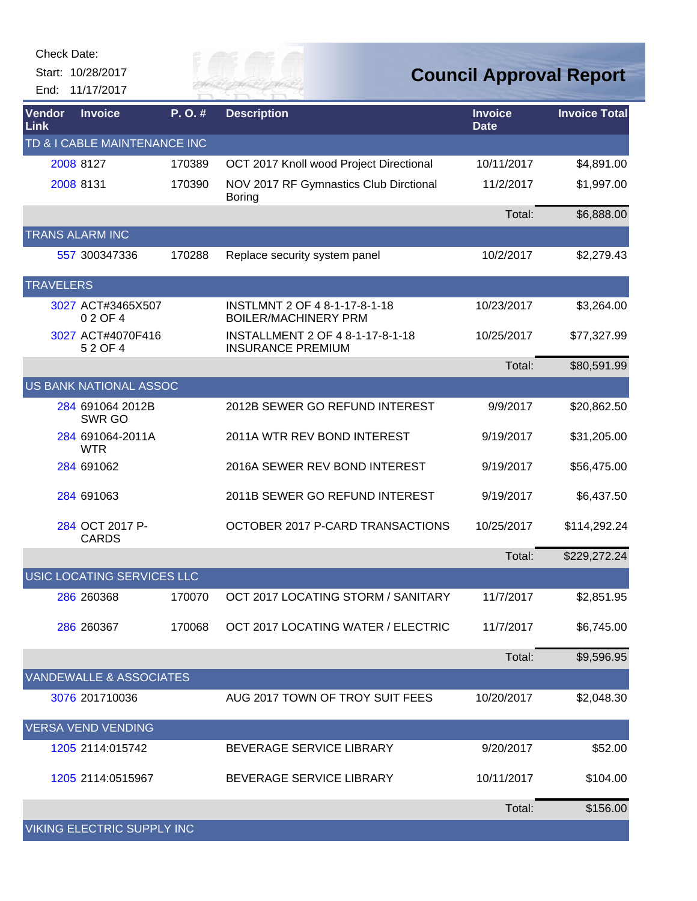| Check Date: |  |
|-------------|--|
|-------------|--|

Start: 10/28/2017 End: 11/17/2017 Give of

| Vendor<br><b>Link</b> | <b>Invoice</b>                     | $P. O.$ # | <b>Description</b>                                           | <b>Invoice</b><br><b>Date</b> | <b>Invoice Total</b> |
|-----------------------|------------------------------------|-----------|--------------------------------------------------------------|-------------------------------|----------------------|
|                       | TD & I CABLE MAINTENANCE INC       |           |                                                              |                               |                      |
|                       | 2008 8127                          | 170389    | OCT 2017 Knoll wood Project Directional                      | 10/11/2017                    | \$4,891.00           |
|                       | 2008 8131                          | 170390    | NOV 2017 RF Gymnastics Club Dirctional<br><b>Boring</b>      | 11/2/2017                     | \$1,997.00           |
|                       |                                    |           |                                                              | Total:                        | \$6,888.00           |
|                       | <b>TRANS ALARM INC</b>             |           |                                                              |                               |                      |
|                       | 557 300347336                      | 170288    | Replace security system panel                                | 10/2/2017                     | \$2,279.43           |
| <b>TRAVELERS</b>      |                                    |           |                                                              |                               |                      |
|                       | 3027 ACT#3465X507<br>02 OF 4       |           | INSTLMNT 2 OF 4 8-1-17-8-1-18<br><b>BOILER/MACHINERY PRM</b> | 10/23/2017                    | \$3,264.00           |
|                       | 3027 ACT#4070F416<br>52 OF 4       |           | INSTALLMENT 2 OF 4 8-1-17-8-1-18<br><b>INSURANCE PREMIUM</b> | 10/25/2017                    | \$77,327.99          |
|                       |                                    |           |                                                              | Total:                        | \$80,591.99          |
|                       | <b>US BANK NATIONAL ASSOC</b>      |           |                                                              |                               |                      |
|                       | 284 691064 2012B<br>SWR GO         |           | 2012B SEWER GO REFUND INTEREST                               | 9/9/2017                      | \$20,862.50          |
|                       | 284 691064-2011A<br><b>WTR</b>     |           | 2011A WTR REV BOND INTEREST                                  | 9/19/2017                     | \$31,205.00          |
|                       | 284 691062                         |           | 2016A SEWER REV BOND INTEREST                                | 9/19/2017                     | \$56,475.00          |
|                       | 284 691063                         |           | 2011B SEWER GO REFUND INTEREST                               | 9/19/2017                     | \$6,437.50           |
|                       | 284 OCT 2017 P-<br><b>CARDS</b>    |           | OCTOBER 2017 P-CARD TRANSACTIONS                             | 10/25/2017                    | \$114,292.24         |
|                       |                                    |           |                                                              | Total:                        | \$229,272.24         |
|                       | USIC LOCATING SERVICES LLC         |           |                                                              |                               |                      |
|                       | 286 260368                         | 170070    | OCT 2017 LOCATING STORM / SANITARY                           | 11/7/2017                     | \$2,851.95           |
|                       | 286 260367                         | 170068    | OCT 2017 LOCATING WATER / ELECTRIC                           | 11/7/2017                     | \$6,745.00           |
|                       |                                    |           |                                                              | Total:                        | \$9,596.95           |
|                       | <b>VANDEWALLE &amp; ASSOCIATES</b> |           |                                                              |                               |                      |
|                       | 3076 201710036                     |           | AUG 2017 TOWN OF TROY SUIT FEES                              | 10/20/2017                    | \$2,048.30           |
|                       | <b>VERSA VEND VENDING</b>          |           |                                                              |                               |                      |
|                       | 1205 2114:015742                   |           | BEVERAGE SERVICE LIBRARY                                     | 9/20/2017                     | \$52.00              |
|                       | 1205 2114:0515967                  |           | BEVERAGE SERVICE LIBRARY                                     | 10/11/2017                    | \$104.00             |
|                       |                                    |           |                                                              | Total:                        | \$156.00             |
|                       | <b>VIKING ELECTRIC SUPPLY INC</b>  |           |                                                              |                               |                      |